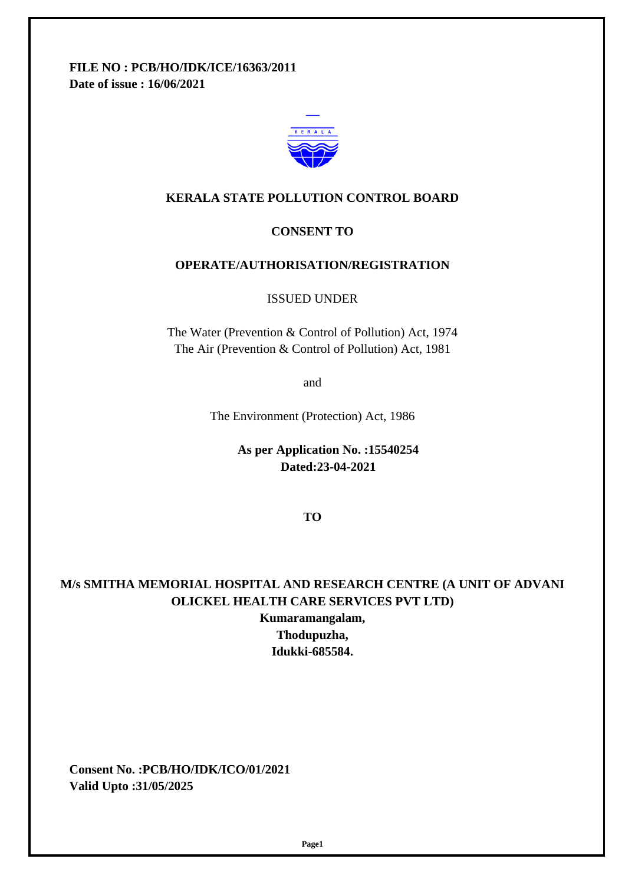**FILE NO : PCB/HO/IDK/ICE/16363/2011 Date of issue : 16/06/2021**



#### **KERALA STATE POLLUTION CONTROL BOARD**

#### **CONSENT TO**

#### **OPERATE/AUTHORISATION/REGISTRATION**

ISSUED UNDER

The Water (Prevention & Control of Pollution) Act, 1974 The Air (Prevention & Control of Pollution) Act, 1981

and

The Environment (Protection) Act, 1986

 **As per Application No. :15540254 Dated:23-04-2021**

**TO**

### **M/s SMITHA MEMORIAL HOSPITAL AND RESEARCH CENTRE (A UNIT OF ADVANI OLICKEL HEALTH CARE SERVICES PVT LTD)**

**Kumaramangalam, Thodupuzha, Idukki-685584.**

 **Consent No. :PCB/HO/IDK/ICO/01/2021 Valid Upto :31/05/2025**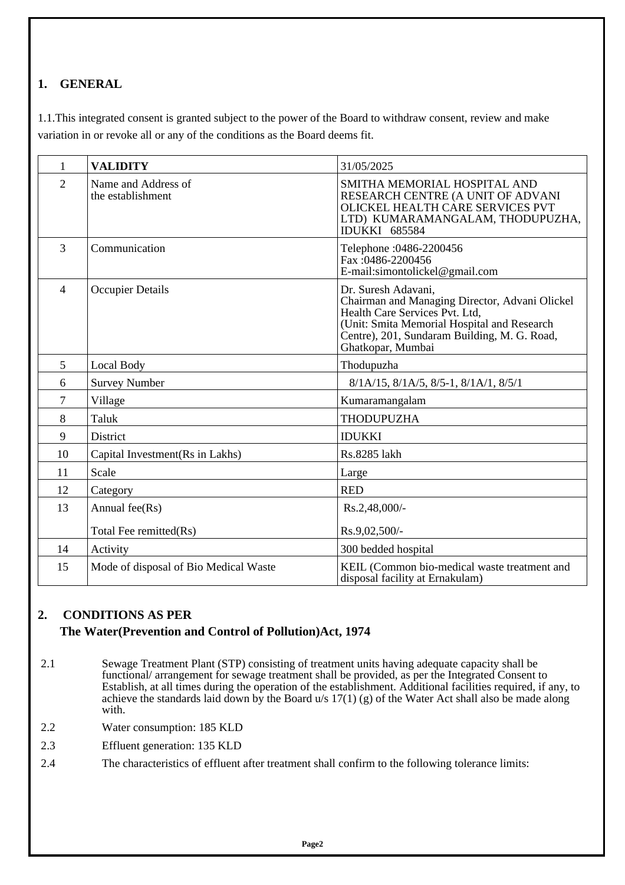# **1. GENERAL**

1.1. This integrated consent is granted subject to the power of the Board to withdraw consent, review and make variation in or revoke all or any of the conditions as the Board deems fit.

| $\mathbf{1}$   | <b>VALIDITY</b>                          | 31/05/2025                                                                                                                                                                                                                  |
|----------------|------------------------------------------|-----------------------------------------------------------------------------------------------------------------------------------------------------------------------------------------------------------------------------|
| $\overline{2}$ | Name and Address of<br>the establishment | SMITHA MEMORIAL HOSPITAL AND<br>RESEARCH CENTRE (A UNIT OF ADVANI<br>OLICKEL HEALTH CARE SERVICES PVT<br>LTD) KUMARAMANGALAM, THODUPUZHA,<br><b>IDUKKI 685584</b>                                                           |
| 3              | Communication                            | Telephone : 0486-2200456<br>Fax:0486-2200456<br>E-mail:simontolickel@gmail.com                                                                                                                                              |
| $\overline{4}$ | <b>Occupier Details</b>                  | Dr. Suresh Adavani,<br>Chairman and Managing Director, Advani Olickel<br>Health Care Services Pvt. Ltd,<br>(Unit: Smita Memorial Hospital and Research<br>Centre), 201, Sundaram Building, M. G. Road,<br>Ghatkopar, Mumbai |
| 5              | <b>Local Body</b>                        | Thodupuzha                                                                                                                                                                                                                  |
| 6              | <b>Survey Number</b>                     | 8/1A/15, 8/1A/5, 8/5-1, 8/1A/1, 8/5/1                                                                                                                                                                                       |
| 7              | Village                                  | Kumaramangalam                                                                                                                                                                                                              |
| 8              | Taluk                                    | <b>THODUPUZHA</b>                                                                                                                                                                                                           |
| 9              | District                                 | <b>IDUKKI</b>                                                                                                                                                                                                               |
| 10             | Capital Investment (Rs in Lakhs)         | Rs.8285 lakh                                                                                                                                                                                                                |
| 11             | Scale                                    | Large                                                                                                                                                                                                                       |
| 12             | Category                                 | <b>RED</b>                                                                                                                                                                                                                  |
| 13             | Annual fee(Rs)                           | Rs.2,48,000/-                                                                                                                                                                                                               |
|                | Total Fee remitted(Rs)                   | Rs.9,02,500/-                                                                                                                                                                                                               |
| 14             | Activity                                 | 300 bedded hospital                                                                                                                                                                                                         |
| 15             | Mode of disposal of Bio Medical Waste    | KEIL (Common bio-medical waste treatment and<br>disposal facility at Ernakulam)                                                                                                                                             |

### **2. CONDITIONS AS PER The Water(Prevention and Control of Pollution)Act, 1974**

- 2.1 Sewage Treatment Plant (STP) consisting of treatment units having adequate capacity shall be functional/ arrangement for sewage treatment shall be provided, as per the Integrated Consent to Establish, at all times during the operation of the establishment. Additional facilities required, if any, to achieve the standards laid down by the Board u/s  $17(1)$  (g) of the Water Act shall also be made along with.
- 2.2 Water consumption: 185 KLD
- 2.3 Effluent generation: 135 KLD
- 2.4 The characteristics of effluent after treatment shall confirm to the following tolerance limits: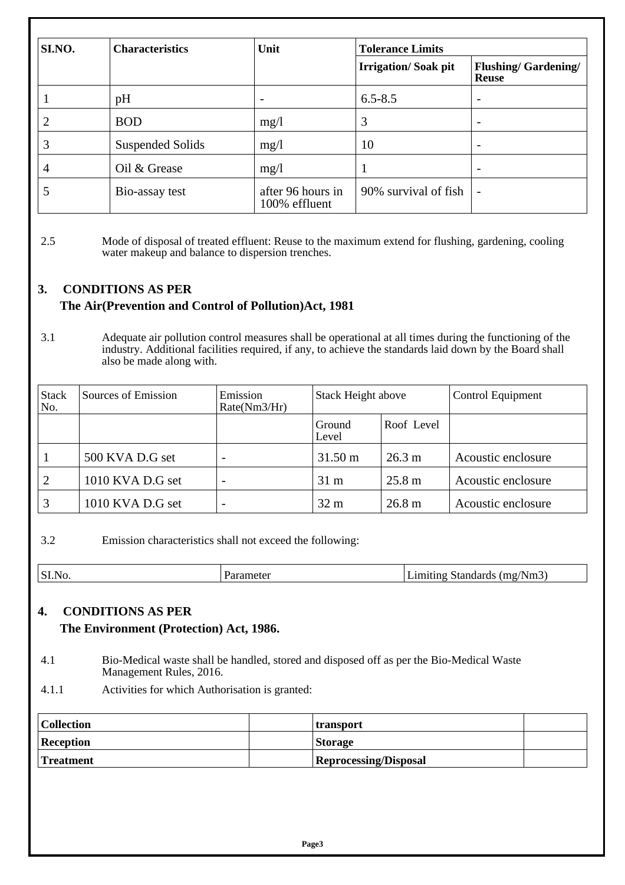| SI.NO. | <b>Characteristics</b> | Unit                               | <b>Tolerance Limits</b>    |                                            |  |
|--------|------------------------|------------------------------------|----------------------------|--------------------------------------------|--|
|        |                        |                                    | <b>Irrigation/Soak pit</b> | <b>Flushing/Gardening/</b><br><b>Reuse</b> |  |
|        | pH                     | $\overline{\phantom{a}}$           | $6.5 - 8.5$                | $\overline{\phantom{0}}$                   |  |
| 2      | <b>BOD</b>             | mg/1                               | 3                          |                                            |  |
| 3      | Suspended Solids       | mg/1                               | 10                         |                                            |  |
| 4      | Oil & Grease           | mg/1                               |                            |                                            |  |
|        | Bio-assay test         | after 96 hours in<br>100% effluent | 90% survival of fish       | $\overline{\phantom{a}}$                   |  |

2.5 Mode of disposal of treated effluent: Reuse to the maximum extend for flushing, gardening, cooling water makeup and balance to dispersion trenches.

## **3. CONDITIONS AS PER The Air(Prevention and Control of Pollution)Act, 1981**

3.1 Adequate air pollution control measures shall be operational at all times during the functioning of the industry. Additional facilities required, if any, to achieve the standards laid down by the Board shall also be made along with.

| <b>Stack</b><br>No. | Sources of Emission | Emission<br>Rate(Nm3/Hr) | <b>Stack Height above</b><br>Control Equipment |                   |                    |
|---------------------|---------------------|--------------------------|------------------------------------------------|-------------------|--------------------|
|                     |                     |                          | Ground<br>Level                                | Roof Level        |                    |
|                     | 500 KVA D.G set     |                          | $31.50 \text{ m}$                              | $26.3 \text{ m}$  | Acoustic enclosure |
| 2                   | 1010 KVA D.G set    |                          | $31 \text{ m}$                                 | $25.8 \text{ m}$  | Acoustic enclosure |
| 3                   | 1010 KVA D.G set    |                          | 32 <sub>m</sub>                                | 26.8 <sub>m</sub> | Acoustic enclosure |

3.2 Emission characteristics shall not exceed the following:

| $\vert$ SI. | $N_{\rm F}$<br>1 n<br>$\sim$ |
|-------------|------------------------------|

#### **4. CONDITIONS AS PER The Environment (Protection) Act, 1986.**

- 4.1 Bio-Medical waste shall be handled, stored and disposed off as per the Bio-Medical Waste Management Rules, 2016.
- 4.1.1 Activities for which Authorisation is granted:

| Collection       | transport                    |  |
|------------------|------------------------------|--|
| <b>Reception</b> | <b>Storage</b>               |  |
| <b>Treatment</b> | <b>Reprocessing/Disposal</b> |  |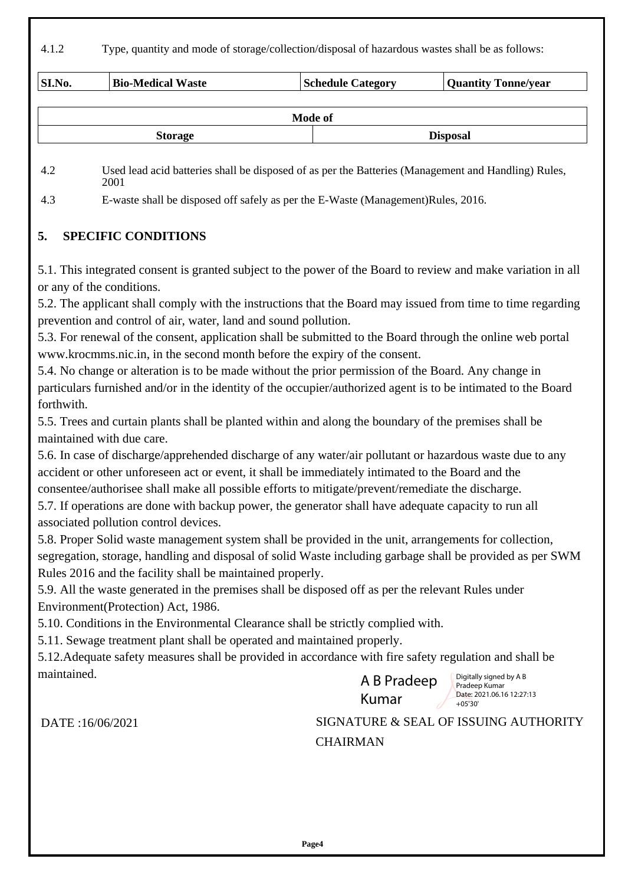4.1.2 Type, quantity and mode of storage/collection/disposal of hazardous wastes shall be as follows:

| <b>SI.No.</b> | <b>Bio-Medical Waste</b> | <b>Schedule Category</b> | <b>Quantity Tonne/year</b> |
|---------------|--------------------------|--------------------------|----------------------------|
|               |                          | <b>Mode of</b>           |                            |
|               |                          |                          |                            |
|               | <b>Storage</b>           | <b>Disposal</b>          |                            |

4.2 Used lead acid batteries shall be disposed of as per the Batteries (Management and Handling) Rules, 2001

4.3 E-waste shall be disposed off safely as per the E-Waste (Management)Rules, 2016.

## **5. SPECIFIC CONDITIONS**

5.1. This integrated consent is granted subject to the power of the Board to review and make variation in all or any of the conditions.

5.2. The applicant shall comply with the instructions that the Board may issued from time to time regarding prevention and control of air, water, land and sound pollution.

5.3. For renewal of the consent, application shall be submitted to the Board through the online web portal www.krocmms.nic.in, in the second month before the expiry of the consent.

5.4. No change or alteration is to be made without the prior permission of the Board. Any change in particulars furnished and/or in the identity of the occupier/authorized agent is to be intimated to the Board forthwith.

5.5. Trees and curtain plants shall be planted within and along the boundary of the premises shall be maintained with due care.

5.6. In case of discharge/apprehended discharge of any water/air pollutant or hazardous waste due to any accident or other unforeseen act or event, it shall be immediately intimated to the Board and the consentee/authorisee shall make all possible efforts to mitigate/prevent/remediate the discharge.

5.7. If operations are done with backup power, the generator shall have adequate capacity to run all associated pollution control devices.

5.8. Proper Solid waste management system shall be provided in the unit, arrangements for collection, segregation, storage, handling and disposal of solid Waste including garbage shall be provided as per SWM Rules 2016 and the facility shall be maintained properly.

5.9. All the waste generated in the premises shall be disposed off as per the relevant Rules under Environment(Protection) Act, 1986.

5.10. Conditions in the Environmental Clearance shall be strictly complied with.

5.11. Sewage treatment plant shall be operated and maintained properly.

5.12.Adequate safety measures shall be provided in accordance with fire safety regulation and shall be maintained. Digitally signed by A B



Pradeep Kumar Date: 2021.06.16 12:27:13  $+05'30'$ 

DATE :16/06/2021 SIGNATURE & SEAL OF ISSUING AUTHORITY **CHAIRMAN**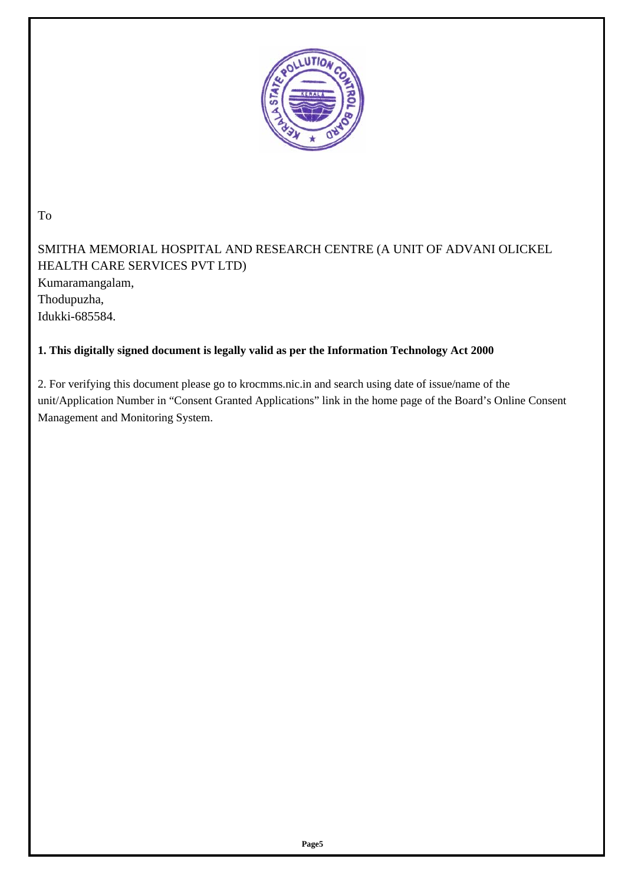

To

SMITHA MEMORIAL HOSPITAL AND RESEARCH CENTRE (A UNIT OF ADVANI OLICKEL HEALTH CARE SERVICES PVT LTD) Kumaramangalam, Thodupuzha, Idukki-685584.

### **1. This digitally signed document is legally valid as per the Information Technology Act 2000**

2. For verifying this document please go to krocmms.nic.in and search using date of issue/name of the unit/Application Number in "Consent Granted Applications" link in the home page of the Board's Online Consent Management and Monitoring System.